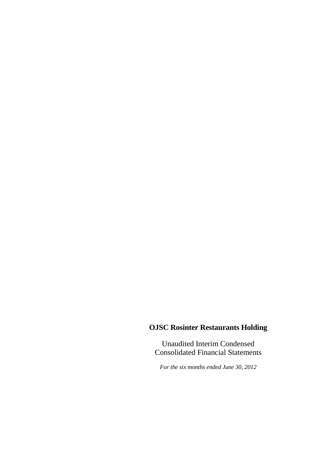Unaudited Interim Condensed Consolidated Financial Statements

*For the six months ended June 30, 2012*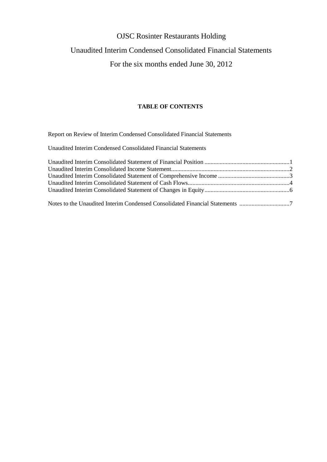## Unaudited Interim Condensed Consolidated Financial Statements

## For the six months ended June 30, 2012

#### **TABLE OF CONTENTS**

Report on Review of Interim Condensed Consolidated Financial Statements

Unaudited Interim Condensed Consolidated Financial Statements

| Notes to the Unaudited Interim Condensed Consolidated Financial Statements 7 |  |
|------------------------------------------------------------------------------|--|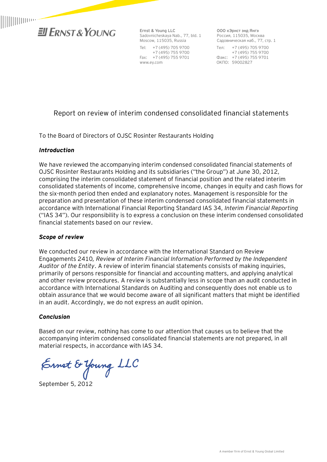

**Ernst & Young LLC**  Sadovnicheskaya Nab., 77, bld. 1 Moscow, 115035, Russia Tel: +7 (495) 705 9700 +7 (495) 755 9700 Fax: +7 (495) 755 9701 www.ey.com

**ООО «Эрнст энд Янг»**  Россия, 115035, Москва Садовническая наб., 77, стр. 1 Тел: +7 (495) 705 9700 +7 (495) 755 9700 Факс: +7 (495) 755 9701 ОКПО: 59002827

## Report on review of interim condensed consolidated financial statements

To the Board of Directors of OJSC Rosinter Restaurants Holding

#### *Introduction*

We have reviewed the accompanying interim condensed consolidated financial statements of OJSC Rosinter Restaurants Holding and its subsidiaries ("the Group") at June 30, 2012, comprising the interim consolidated statement of financial position and the related interim consolidated statements of income, comprehensive income, changes in equity and cash flows for the six-month period then ended and explanatory notes. Management is responsible for the preparation and presentation of these interim condensed consolidated financial statements in accordance with International Financial Reporting Standard IAS 34, *Interim Financial Reporting* ("IAS 34"). Our responsibility is to express a conclusion on these interim condensed consolidated financial statements based on our review.

#### *Scope of review*

We conducted our review in accordance with the International Standard on Review Engagements 2410*, Review of Interim Financial Information Performed by the Independent Auditor of the Entity*. A review of interim financial statements consists of making inquiries, primarily of persons responsible for financial and accounting matters, and applying analytical and other review procedures. A review is substantially less in scope than an audit conducted in accordance with International Standards on Auditing and consequently does not enable us to obtain assurance that we would become aware of all significant matters that might be identified in an audit. Accordingly, we do not express an audit opinion.

#### *Conclusion*

Based on our review, nothing has come to our attention that causes us to believe that the accompanying interim condensed consolidated financial statements are not prepared, in all material respects, in accordance with IAS 34.

Ernet & Young LLC

September 5, 2012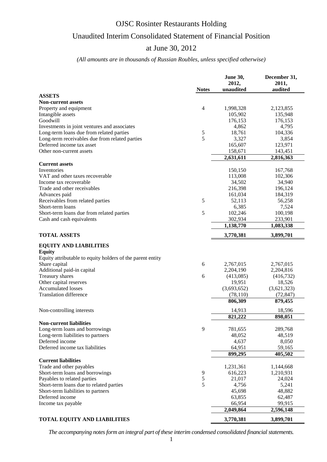## Unaudited Interim Consolidated Statement of Financial Position

### at June 30, 2012

#### *(All amounts are in thousands of Russian Roubles, unless specified otherwise)*

| 2012,<br>2011,<br>unaudited<br>audited<br><b>Notes</b>                |  |
|-----------------------------------------------------------------------|--|
|                                                                       |  |
| <b>ASSETS</b>                                                         |  |
| <b>Non-current assets</b>                                             |  |
| 4<br>1,998,328<br>2,123,855<br>Property and equipment                 |  |
| Intangible assets<br>105,902<br>135,948                               |  |
| Goodwill<br>176,153<br>176,153                                        |  |
| 4,795<br>4,862<br>Investments in joint ventures and associates        |  |
| Long-term loans due from related parties<br>5<br>18,761<br>104,336    |  |
| 5<br>Long-term receivables due from related parties<br>3,327<br>3,854 |  |
| Deferred income tax asset<br>165,607<br>123,971                       |  |
| Other non-current assets<br>143,451<br>158,671                        |  |
| 2,631,611<br>2,816,363                                                |  |
| <b>Current assets</b>                                                 |  |
| Inventories<br>167,768<br>150,150                                     |  |
| 113,008<br>102,306<br>VAT and other taxes recoverable                 |  |
| 34,502<br>34,940<br>Income tax recoverable                            |  |
| Trade and other receivables<br>216,398<br>196,124                     |  |
| 161,034<br>184,319<br>Advances paid                                   |  |
| 5<br>Receivables from related parties<br>52,113<br>56,258             |  |
| Short-term loans<br>6,385<br>7,524                                    |  |
| 5<br>Short-term loans due from related parties<br>102,246<br>100,198  |  |
| 302,934<br>233,901<br>Cash and cash equivalents                       |  |
| 1,138,770<br>1,083,338                                                |  |
| <b>TOTAL ASSETS</b><br>3,770,381<br>3,899,701                         |  |
| <b>EQUITY AND LIABILITIES</b>                                         |  |
| <b>Equity</b>                                                         |  |
| Equity attributable to equity holders of the parent entity            |  |
| Share capital<br>6<br>2,767,015<br>2,767,015                          |  |
| Additional paid-in capital<br>2,204,190<br>2,204,816                  |  |
| Treasury shares<br>6<br>(413,085)<br>(416, 732)                       |  |
| Other capital reserves<br>19,951<br>18,526                            |  |
| <b>Accumulated losses</b><br>(3,693,652)<br>(3,621,323)               |  |
| <b>Translation difference</b><br>(78, 110)<br>(72, 847)               |  |
| 806,309<br>879,455                                                    |  |
|                                                                       |  |
| 14,913<br>18,596<br>Non-controlling interests                         |  |
| 821,222<br>898,051                                                    |  |
| <b>Non-current liabilities</b>                                        |  |
| 9<br>Long-term loans and borrowings<br>781,655<br>289,768             |  |
| 48,519<br>Long-term liabilities to partners<br>48,052                 |  |
| Deferred income<br>4,637<br>8,050                                     |  |
| Deferred income tax liabilities<br>64,951<br>59,165                   |  |
| 899,295<br>405,502                                                    |  |
| <b>Current liabilities</b>                                            |  |
| Trade and other payables<br>1,231,361<br>1,144,668                    |  |
| Short-term loans and borrowings<br>9<br>616,223<br>1,210,931          |  |
| 5<br>Payables to related parties<br>21,017<br>24,024                  |  |
| 5<br>Short-term loans due to related parties<br>4,756<br>5,241        |  |
| 45,698<br>48,882<br>Short-term liabilities to partners                |  |
| Deferred income<br>63,855<br>62,487                                   |  |
| 66,954<br>99,915<br>Income tax payable                                |  |
| 2,049,864<br>2,596,148                                                |  |
| <b>TOTAL EQUITY AND LIABILITIES</b><br>3,770,381<br>3,899,701         |  |

*The accompanying notes form an integral part of these interim condensed consolidated financial statements.*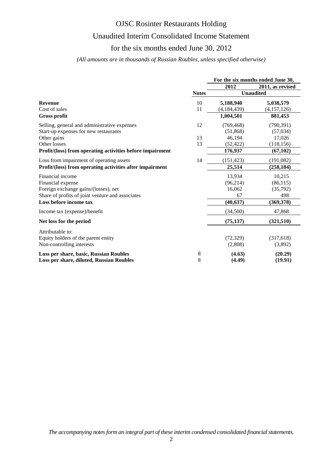## Unaudited Interim Consolidated Income Statement

### for the six months ended June 30, 2012

#### *(All amounts are in thousands of Russian Roubles, unless specified otherwise)*

|                                                           |              | For the six months ended June 30, |                  |  |
|-----------------------------------------------------------|--------------|-----------------------------------|------------------|--|
|                                                           |              | 2012                              | 2011, as revised |  |
|                                                           | <b>Notes</b> | <b>Unaudited</b>                  |                  |  |
| <b>Revenue</b>                                            | 10           | 5,188,940                         | 5,038,579        |  |
| Cost of sales                                             | 11           | (4, 184, 439)                     | (4,157,126)      |  |
| Gross profit                                              |              | 1,004,501                         | 881,453          |  |
| Selling, general and administrative expenses              | 12           | (769, 468)                        | (790, 391)       |  |
| Start-up expenses for new restaurants                     |              | (51,868)                          | (57,034)         |  |
| Other gains                                               | 13           | 46,194                            | 17,026           |  |
| Other losses                                              | 13           | (52, 422)                         | (118, 156)       |  |
| Profit/(loss) from operating activities before impairment |              | 176,937                           | (67, 102)        |  |
| Loss from impairment of operating assets                  | 14           | (151, 423)                        | (191,082)        |  |
| Profit/(loss) from operating activities after impairment  |              | 25,514                            | (258, 184)       |  |
| Financial income                                          |              | 13,934                            | 10,215           |  |
| Financial expense                                         |              | (96, 214)                         | (86, 115)        |  |
| Foreign exchange gains/(losses), net                      |              | 16,062                            | (35,792)         |  |
| Share of profits of joint venture and associates          |              | 67                                | 498              |  |
| Loss before income tax                                    |              | (40, 637)                         | (369, 378)       |  |
| Income tax (expense)/benefit                              |              | (34,500)                          | 47,868           |  |
| Net loss for the period                                   |              | (75, 137)                         | (321,510)        |  |
| Attributable to:                                          |              |                                   |                  |  |
| Equity holders of the parent entity                       |              | (72, 329)                         | (317,618)        |  |
| Non-controlling interests                                 |              | (2,808)                           | (3,892)          |  |
| Loss per share, basic, Russian Roubles                    | 8            | (4.63)                            | (20.29)          |  |
| Loss per share, diluted, Russian Roubles                  | 8            | (4.49)                            | (19.91)          |  |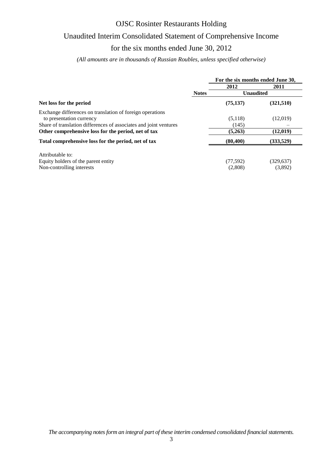## Unaudited Interim Consolidated Statement of Comprehensive Income

### for the six months ended June 30, 2012

*(All amounts are in thousands of Russian Roubles, unless specified otherwise)*

|                                                                   |              | For the six months ended June 30, |            |  |  |
|-------------------------------------------------------------------|--------------|-----------------------------------|------------|--|--|
|                                                                   |              | 2012                              | 2011       |  |  |
|                                                                   | <b>Notes</b> | <b>Unaudited</b>                  |            |  |  |
| Net loss for the period                                           |              | (75, 137)                         | (321,510)  |  |  |
| Exchange differences on translation of foreign operations         |              |                                   |            |  |  |
| to presentation currency                                          |              | (5,118)                           | (12,019)   |  |  |
| Share of translation differences of associates and joint ventures |              | (145)                             |            |  |  |
| Other comprehensive loss for the period, net of tax               |              | (5,263)                           | (12,019)   |  |  |
| Total comprehensive loss for the period, net of tax               |              | (80, 400)                         | (333,529)  |  |  |
| Attributable to:                                                  |              |                                   |            |  |  |
| Equity holders of the parent entity                               |              | (77, 592)                         | (329, 637) |  |  |
| Non-controlling interests                                         |              | (2,808)                           | (3,892)    |  |  |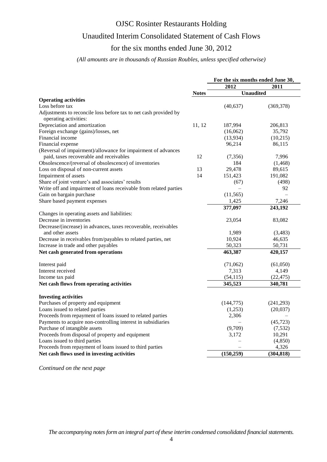## Unaudited Interim Consolidated Statement of Cash Flows

# for the six months ended June 30, 2012

#### *(All amounts are in thousands of Russian Roubles, unless specified otherwise)*

|                                                                                           |              | For the six months ended June 30, |            |
|-------------------------------------------------------------------------------------------|--------------|-----------------------------------|------------|
|                                                                                           |              | 2012                              | 2011       |
|                                                                                           | <b>Notes</b> | <b>Unaudited</b>                  |            |
| <b>Operating activities</b>                                                               |              |                                   |            |
| Loss before tax                                                                           |              | (40, 637)                         | (369, 378) |
| Adjustments to reconcile loss before tax to net cash provided by<br>operating activities: |              |                                   |            |
| Depreciation and amortization                                                             | 11, 12       | 187,994                           | 206,813    |
| Foreign exchange (gains)/losses, net                                                      |              | (16,062)                          | 35,792     |
| Financial income                                                                          |              | (13,934)                          | (10,215)   |
| Financial expense                                                                         |              | 96,214                            | 86,115     |
| (Reversal of impairment)/allowance for impairment of advances                             |              |                                   |            |
| paid, taxes recoverable and receivables                                                   | 12           | (7,356)                           | 7,996      |
| Obsolescence/(reversal of obsolescence) of inventories                                    |              | 184                               | (1, 468)   |
| Loss on disposal of non-current assets                                                    | 13           | 29,478                            | 89,615     |
| Impairment of assets                                                                      | 14           | 151,423                           | 191,082    |
| Share of joint venture's and associates' results                                          |              | (67)                              | (498)      |
| Write off and impairment of loans receivable from related parties                         |              |                                   | 92         |
| Gain on bargain purchase                                                                  |              | (11, 565)                         |            |
| Share based payment expenses                                                              |              | 1,425                             | 7,246      |
|                                                                                           |              | 377,097                           | 243,192    |
| Changes in operating assets and liabilities:                                              |              |                                   |            |
| Decrease in inventories                                                                   |              | 23,054                            | 83,082     |
| Decrease/(increase) in advances, taxes recoverable, receivables                           |              |                                   |            |
| and other assets                                                                          |              | 1,989                             | (3,483)    |
| Decrease in receivables from/payables to related parties, net                             |              | 10,924                            | 46,635     |
| Increase in trade and other payables                                                      |              | 50,323                            | 50,731     |
| Net cash generated from operations                                                        |              | 463,387                           | 420,157    |
| Interest paid                                                                             |              | (71,062)                          | (61,050)   |
| Interest received                                                                         |              | 7,313                             | 4,149      |
| Income tax paid                                                                           |              | (54, 115)                         | (22, 475)  |
| Net cash flows from operating activities                                                  |              | 345,523                           | 340,781    |
| <b>Investing activities</b>                                                               |              |                                   |            |
| Purchases of property and equipment                                                       |              | (144, 775)                        | (241,293)  |
| Loans issued to related parties                                                           |              | (1,253)                           | (20,037)   |
| Proceeds from repayment of loans issued to related parties                                |              | 2,306                             |            |
| Payments to acquire non-controlling interest in subsidiaries                              |              |                                   | (45, 723)  |
| Purchase of intangible assets                                                             |              | (9,709)                           | (7,532)    |
| Proceeds from disposal of property and equipment                                          |              | 3,172                             | 10,291     |
| Loans issued to third parties                                                             |              |                                   | (4, 850)   |
| Proceeds from repayment of loans issued to third parties                                  |              |                                   | 4,326      |
| Net cash flows used in investing activities                                               |              | (150, 259)                        | (304, 818) |

*Continued on the next page*

*The accompanying notes form an integral part of these interim condensed consolidated financial statements.*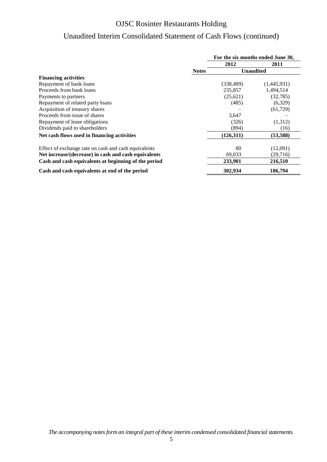# Unaudited Interim Consolidated Statement of Cash Flows (continued)

|                                                      |              | For the six months ended June 30, |                  |  |  |
|------------------------------------------------------|--------------|-----------------------------------|------------------|--|--|
|                                                      |              | 2012                              | 2011             |  |  |
|                                                      | <b>Notes</b> |                                   | <b>Unaudited</b> |  |  |
| <b>Financing activities</b>                          |              |                                   |                  |  |  |
| Repayment of bank loans                              |              | (338, 489)                        | (1,445,931)      |  |  |
| Proceeds from bank loans                             |              | 235,857                           | 1,494,514        |  |  |
| Payments to partners                                 |              | (25,621)                          | (32, 785)        |  |  |
| Repayment of related party loans                     |              | (485)                             | (6,329)          |  |  |
| Acquisition of treasury shares                       |              |                                   | (61, 729)        |  |  |
| Proceeds from issue of shares                        |              | 3,647                             |                  |  |  |
| Repayment of lease obligations                       |              | (326)                             | (1,312)          |  |  |
| Dividends paid to shareholders                       |              | (894)                             | (16)             |  |  |
| Net cash flows used in financing activities          |              | (126,311)                         | (53, 588)        |  |  |
| Effect of exchange rate on cash and cash equivalents |              | 80                                | (12,091)         |  |  |
| Net increase/(decrease) in cash and cash equivalents |              | 69,033                            | (29,716)         |  |  |
| Cash and cash equivalents at beginning of the period |              | 233,901                           | 216,510          |  |  |
| Cash and cash equivalents at end of the period       |              | 302,934                           | 186,794          |  |  |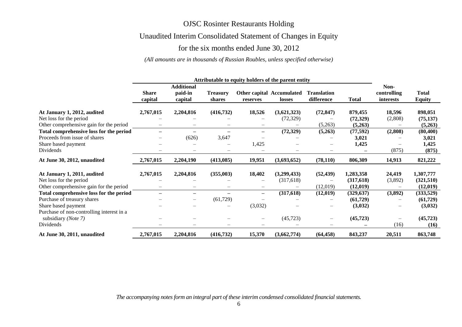## Unaudited Interim Consolidated Statement of Changes in Equity

## for the six months ended June 30, 2012

#### *(All amounts are in thousands of Russian Roubles, unless specified otherwise)*

|                                                                  | Attributable to equity holders of the parent entity |                                         |                           |                          |                                            |                                  |              |                                  |                               |
|------------------------------------------------------------------|-----------------------------------------------------|-----------------------------------------|---------------------------|--------------------------|--------------------------------------------|----------------------------------|--------------|----------------------------------|-------------------------------|
|                                                                  | <b>Share</b><br>capital                             | <b>Additional</b><br>paid-in<br>capital | <b>Treasury</b><br>shares | reserves                 | <b>Other capital Accumulated</b><br>losses | <b>Translation</b><br>difference | <b>Total</b> | Non-<br>controlling<br>interests | <b>Total</b><br><b>Equity</b> |
| At January 1, 2012, audited                                      | 2,767,015                                           | 2,204,816                               | (416, 732)                | 18,526                   | (3,621,323)                                | (72, 847)                        | 879,455      | 18,596                           | 898,051                       |
| Net loss for the period                                          |                                                     |                                         |                           |                          | (72, 329)                                  |                                  | (72, 329)    | (2,808)                          | (75, 137)                     |
| Other comprehensive gain for the period                          |                                                     |                                         |                           |                          |                                            | (5,263)                          | (5,263)      |                                  | (5,263)                       |
| Total comprehensive loss for the period                          |                                                     | $\qquad \qquad$                         |                           | $\qquad \qquad -$        | (72, 329)                                  | (5,263)                          | (77, 592)    | (2,808)                          | (80, 400)                     |
| Proceeds from issue of shares                                    |                                                     | (626)                                   | 3,647                     |                          |                                            |                                  | 3,021        |                                  | 3,021                         |
| Share based payment                                              |                                                     |                                         |                           | 1,425                    |                                            |                                  | 1,425        |                                  | 1,425                         |
| Dividends                                                        |                                                     |                                         |                           |                          |                                            |                                  |              | (875)                            | (875)                         |
| At June 30, 2012, unaudited                                      | 2,767,015                                           | 2,204,190                               | (413,085)                 | 19,951                   | (3,693,652)                                | (78, 110)                        | 806,309      | 14,913                           | 821,222                       |
| At January 1, 2011, audited                                      | 2,767,015                                           | 2,204,816                               | (355,003)                 | 18,402                   | (3,299,433)                                | (52, 439)                        | 1,283,358    | 24,419                           | 1,307,777                     |
| Net loss for the period                                          |                                                     |                                         |                           |                          | (317,618)                                  |                                  | (317,618)    | (3,892)                          | (321,510)                     |
| Other comprehensive gain for the period                          |                                                     | $\overline{\phantom{m}}$                | $\qquad \qquad -$         | $\overline{\phantom{m}}$ |                                            | (12,019)                         | (12,019)     |                                  | (12,019)                      |
| Total comprehensive loss for the period                          | $\overline{\phantom{0}}$                            |                                         |                           | $\qquad \qquad -$        | (317,618)                                  | (12,019)                         | (329, 637)   | (3,892)                          | (333,529)                     |
| Purchase of treasury shares                                      |                                                     | $\qquad \qquad -$                       | (61, 729)                 |                          |                                            |                                  | (61,729)     |                                  | (61, 729)                     |
| Share based payment                                              |                                                     |                                         |                           | (3,032)                  |                                            |                                  | (3,032)      |                                  | (3,032)                       |
| Purchase of non-controlling interest in a<br>subsidiary (Note 7) |                                                     |                                         |                           | $\overline{\phantom{m}}$ | (45, 723)                                  | $\qquad \qquad -$                | (45, 723)    |                                  | (45, 723)                     |
| Dividends                                                        |                                                     |                                         |                           |                          |                                            |                                  |              | (16)                             | (16)                          |
| At June 30, 2011, unaudited                                      | 2,767,015                                           | 2,204,816                               | (416,732)                 | 15,370                   | (3,662,774)                                | (64, 458)                        | 843,237      | 20,511                           | 863,748                       |

*The accompanying notes form an integral part of these interim condensed consolidated financial statements.*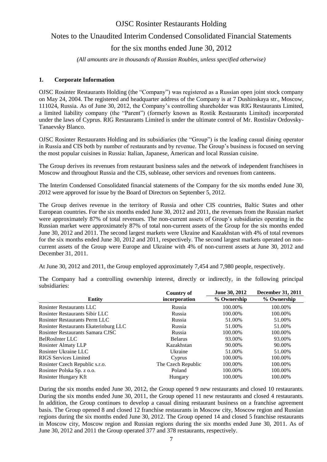# Notes to the Unaudited Interim Condensed Consolidated Financial Statements

for the six months ended June 30, 2012

*(All amounts are in thousands of Russian Roubles, unless specified otherwise)*

#### **1. Corporate Information**

OJSC Rosinter Restaurants Holding (the "Company") was registered as a Russian open joint stock company on May 24, 2004. The registered and headquarter address of the Company is at 7 Dushinskaya str., Moscow, 111024, Russia. As of June 30, 2012, the Company's controlling shareholder was RIG Restaurants Limited, a limited liability company (the "Parent") (formerly known as Rostik Restaurants Limited) incorporated under the laws of Cyprus. RIG Restaurants Limited is under the ultimate control of Mr. Rostislav Ordovsky-Tanaevsky Blanco.

OJSC Rosinter Restaurants Holding and its subsidiaries (the "Group") is the leading casual dining operator in Russia and CIS both by number of restaurants and by revenue. The Group's business is focused on serving the most popular cuisines in Russia: Italian, Japanese, American and local Russian cuisine.

The Group derives its revenues from restaurant business sales and the network of independent franchisees in Moscow and throughout Russia and the CIS, sublease, other services and revenues from canteens.

The Interim Condensed Consolidated financial statements of the Company for the six months ended June 30, 2012 were approved for issue by the Board of Directors on September 5, 2012.

The Group derives revenue in the territory of Russia and other CIS countries, Baltic States and other European countries. For the six months ended June 30, 2012 and 2011, the revenues from the Russian market were approximately 87% of total revenues. The non-current assets of Group's subsidiaries operating in the Russian market were approximately 87% of total non-current assets of the Group for the six months ended June 30, 2012 and 2011. The second largest markets were Ukraine and Kazakhstan with 4% of total revenues for the six months ended June 30, 2012 and 2011, respectively. The second largest markets operated on noncurrent assets of the Group were Europe and Ukraine with 4% of non-current assets at June 30, 2012 and December 31, 2011.

At June 30, 2012 and 2011, the Group employed approximately 7,454 and 7,980 people, respectively.

|                                       | Country of         | June 30, 2012 | December 31, 2011 |
|---------------------------------------|--------------------|---------------|-------------------|
| <b>Entity</b>                         | incorporation      | % Ownership   | % Ownership       |
| Rosinter Restaurants LLC              | Russia             | 100.00%       | 100.00%           |
| Rosinter Restaurants Sibir LLC        | Russia             | 100.00%       | 100.00%           |
| <b>Rosinter Restaurants Perm LLC</b>  | Russia             | 51.00%        | 51.00%            |
| Rosinter Restaurants Ekaterinburg LLC | Russia             | 51.00%        | 51.00%            |
| Rosinter Restaurants Samara CJSC      | Russia             | 100.00%       | 100.00%           |
| <b>BelRosInter LLC</b>                | <b>Belarus</b>     | 93.00%        | 93.00%            |
| <b>Rosinter Almaty LLP</b>            | Kazakhstan         | 90.00%        | 90.00%            |
| Rosinter Ukraine LLC                  | Ukraine            | 51.00%        | 51.00%            |
| RIGS Services Limited                 | Cyprus             | 100.00%       | 100.00%           |
| Rosinter Czech Republic s.r.o.        | The Czech Republic | 100.00%       | 100.00%           |
| Rosinter Polska Sp. z o.o.            | Poland             | 100.00%       | 100.00%           |
| Rosinter Hungary Kft                  | Hungary            | 100.00%       | 100.00%           |

The Company had a controlling ownership interest, directly or indirectly, in the following principal subsidiaries:

During the six months ended June 30, 2012, the Group opened 9 new restaurants and closed 10 restaurants. During the six months ended June 30, 2011, the Group opened 11 new restaurants and closed 4 restaurants. In addition, the Group continues to develop a casual dining restaurant business on a franchise agreement basis. The Group opened 8 and closed 12 franchise restaurants in Moscow city, Moscow region and Russian regions during the six months ended June 30, 2012. The Group opened 14 and closed 5 franchise restaurants in Moscow city, Moscow region and Russian regions during the six months ended June 30, 2011. As of June 30, 2012 and 2011 the Group operated 377 and 378 restaurants, respectively.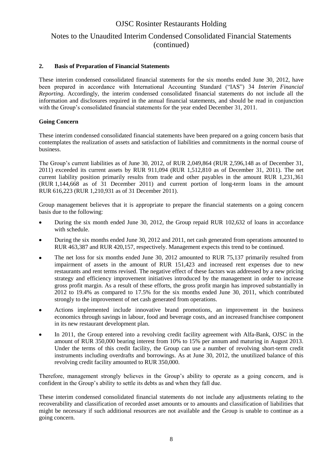## Notes to the Unaudited Interim Condensed Consolidated Financial Statements (continued)

#### **2. Basis of Preparation of Financial Statements**

These interim condensed consolidated financial statements for the six months ended June 30, 2012, have been prepared in accordance with International Accounting Standard ("IAS") 34 *Interim Financial Reporting*. Accordingly, the interim condensed consolidated financial statements do not include all the information and disclosures required in the annual financial statements, and should be read in conjunction with the Group's consolidated financial statements for the year ended December 31, 2011.

#### **Going Concern**

These interim condensed consolidated financial statements have been prepared on a going concern basis that contemplates the realization of assets and satisfaction of liabilities and commitments in the normal course of business.

The Group's current liabilities as of June 30, 2012, of RUR 2,049,864 (RUR 2,596,148 as of December 31, 2011) exceeded its current assets by RUR 911,094 (RUR 1,512,810 as of December 31, 2011). The net current liability position primarily results from trade and other payables in the amount RUR 1,231,361 (RUR 1,144,668 as of 31 December 2011) and current portion of long-term loans in the amount RUR 616,223 (RUR 1,210,931 as of 31 December 2011).

Group management believes that it is appropriate to prepare the financial statements on a going concern basis due to the following:

- During the six month ended June 30, 2012, the Group repaid RUR 102,632 of loans in accordance  $\bullet$ with schedule.
- During the six months ended June 30, 2012 and 2011, net cash generated from operations amounted to RUR 463,387 and RUR 420,157, respectively. Management expects this trend to be continued.
- The net loss for six months ended June 30, 2012 amounted to RUR 75,137 primarily resulted from impairment of assets in the amount of RUR 151,423 and increased rent expenses due to new restaurants and rent terms revised. The negative effect of these factors was addressed by a new pricing strategy and efficiency improvement initiatives introduced by the management in order to increase gross profit margin. As a result of these efforts, the gross profit margin has improved substantially in 2012 to 19.4% as compared to 17.5% for the six months ended June 30, 2011, which contributed strongly to the improvement of net cash generated from operations.
- Actions implemented include innovative brand promotions, an improvement in the business  $\bullet$ economics through savings in labour, food and beverage costs, and an increased franchisee component in its new restaurant development plan.
- In 2011, the Group entered into a revolving credit facility agreement with Alfa-Bank, OJSC in the amount of RUR 350,000 bearing interest from 10% to 15% per annum and maturing in August 2013. Under the terms of this credit facility, the Group can use a number of revolving short-term credit instruments including overdrafts and borrowings. As at June 30, 2012, the unutilized balance of this revolving credit facility amounted to RUR 350,000.

Therefore, management strongly believes in the Group's ability to operate as a going concern, and is confident in the Group's ability to settle its debts as and when they fall due.

These interim condensed consolidated financial statements do not include any adjustments relating to the recoverability and classification of recorded asset amounts or to amounts and classification of liabilities that might be necessary if such additional resources are not available and the Group is unable to continue as a going concern.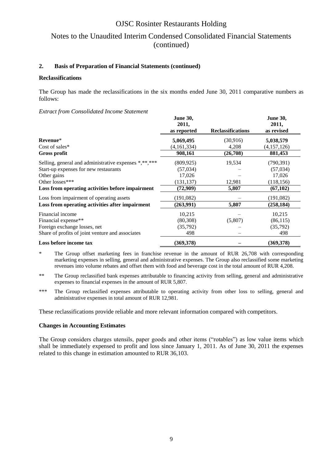## Notes to the Unaudited Interim Condensed Consolidated Financial Statements (continued)

#### **2. Basis of Preparation of Financial Statements (continued)**

#### **Reclassifications**

The Group has made the reclassifications in the six months ended June 30, 2011 comparative numbers as follows:

#### *Extract from Consolidated Income Statement*

|                                                       | <b>June 30,</b><br>2011,<br>as reported | <b>Reclassifications</b> | <b>June 30,</b><br>2011,<br>as revised |
|-------------------------------------------------------|-----------------------------------------|--------------------------|----------------------------------------|
| Revenue*                                              | 5,069,495                               | (30,916)                 | 5,038,579                              |
| Cost of sales $*$                                     | (4,161,334)                             | 4,208                    | (4,157,126)                            |
| <b>Gross profit</b>                                   | 908,161                                 | (26,708)                 | 881,453                                |
| Selling, general and administrative expenses *,**,*** | (809, 925)                              | 19,534                   | (790, 391)                             |
| Start-up expenses for new restaurants                 | (57, 034)                               |                          | (57, 034)                              |
| Other gains                                           | 17,026                                  |                          | 17,026                                 |
| Other losses***                                       | (131, 137)                              | 12,981                   | (118, 156)                             |
| Loss from operating activities before impairment      | (72,909)                                | 5,807                    | (67, 102)                              |
| Loss from impairment of operating assets              | (191,082)                               |                          | (191,082)                              |
| Loss from operating activities after impairment       | (263,991)                               | 5,807                    | (258, 184)                             |
| Financial income                                      | 10,215                                  |                          | 10,215                                 |
| Financial expense**                                   | (80, 308)                               | (5,807)                  | (86, 115)                              |
| Foreign exchange losses, net                          | (35, 792)                               |                          | (35, 792)                              |
| Share of profits of joint venture and associates      | 498                                     |                          | 498                                    |
| Loss before income tax                                | (369, 378)                              |                          | (369,378)                              |

\* The Group offset marketing fees in franchise revenue in the amount of RUR 26,708 with corresponding marketing expenses in selling, general and administrative expenses. The Group also reclassified some marketing revenues into volume rebates and offset them with food and beverage cost in the total amount of RUR 4,208.

- \*\* The Group reclassified bank expenses attributable to financing activity from selling, general and administrative expenses to financial expenses in the amount of RUR 5,807.
- \*\*\* The Group reclassified expenses attributable to operating activity from other loss to selling, general and administrative expenses in total amount of RUR 12,981.

These reclassifications provide reliable and more relevant information compared with competitors.

#### **Changes in Accounting Estimates**

The Group considers charges utensils, paper goods and other items ("rotables") as low value items which shall be immediately expensed to profit and loss since January 1, 2011. As of June 30, 2011 the expenses related to this change in estimation amounted to RUR 36,103.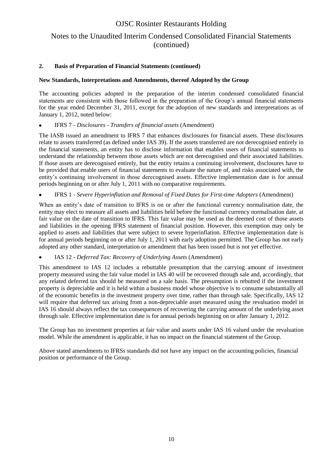## Notes to the Unaudited Interim Condensed Consolidated Financial Statements (continued)

#### **2. Basis of Preparation of Financial Statements (continued)**

#### **New Standards, Interpretations and Amendments, thereof Adopted by the Group**

The accounting policies adopted in the preparation of the interim condensed consolidated financial statements are consistent with those followed in the preparation of the Group's annual financial statements for the year ended December 31, 2011, except for the adoption of new standards and interpretations as of January 1, 2012, noted below:

IFRS 7 *- Disclosures - Transfers of financial assets* (Amendment)

The IASB issued an amendment to IFRS 7 that enhances disclosures for financial assets. These disclosures relate to assets transferred (as defined under IAS 39). If the assets transferred are not derecognised entirely in the financial statements, an entity has to disclose information that enables users of financial statements to understand the relationship between those assets which are not derecognised and their associated liabilities. If those assets are derecognised entirely, but the entity retains a continuing involvement, disclosures have to be provided that enable users of financial statements to evaluate the nature of, and risks associated with, the entity's continuing involvement in those derecognised assets. Effective implementation date is for annual periods beginning on or after July 1, 2011 with no comparative requirements.

#### IFRS 1 - *Severe Hyperinflation and Removal of Fixed Dates for First-time Adopters* (Amendment)

When an entity's date of transition to IFRS is on or after the functional currency normalisation date, the entity may elect to measure all assets and liabilities held before the functional currency normalisation date, at fair value on the date of transition to IFRS. This fair value may be used as the deemed cost of those assets and liabilities in the opening IFRS statement of financial position. However, this exemption may only be applied to assets and liabilities that were subject to severe hyperinflation. Effective implementation date is for annual periods beginning on or after July 1, 2011 with early adoption permitted. The Group has not early adopted any other standard, interpretation or amendment that has been issued but is not yet effective.

#### IAS 12 - *Deferred Tax: Recovery of Underlying Assets* (Amendment)

This amendment to IAS 12 includes a rebuttable presumption that the carrying amount of investment property measured using the fair value model in IAS 40 will be recovered through sale and, accordingly, that any related deferred tax should be measured on a sale basis. The presumption is rebutted if the investment property is depreciable and it is held within a business model whose objective is to consume substantially all of the economic benefits in the investment property over time, rather than through sale. Specifically, IAS 12 will require that deferred tax arising from a non-depreciable asset measured using the revaluation model in IAS 16 should always reflect the tax consequences of recovering the carrying amount of the underlying asset through sale. Effective implementation date is for annual periods beginning on or after January 1, 2012.

The Group has no investment properties at fair value and assets under IAS 16 valued under the revaluation model. While the amendment is applicable, it has no impact on the financial statement of the Group.

Above stated amendments to IFRSs standards did not have any impact on the accounting policies, financial position or performance of the Group.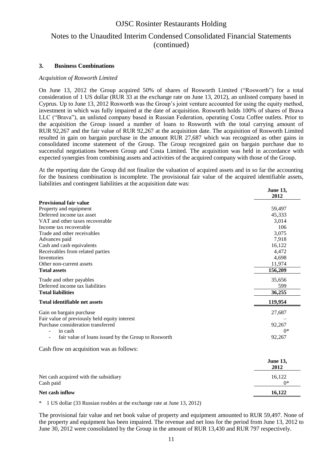## Notes to the Unaudited Interim Condensed Consolidated Financial Statements (continued)

#### **3. Business Combinations**

#### *Acquisition of Rosworth Limited*

On June 13, 2012 the Group acquired 50% of shares of Rosworth Limited ("Rosworth") for a total consideration of 1 US dollar (RUR 33 at the exchange rate on June 13, 2012), an unlisted company based in Cyprus. Up to June 13, 2012 Rosworth was the Group's joint venture accounted for using the equity method, investment in which was fully impaired at the date of acquisition. Rosworth holds 100% of shares of Brava LLC ("Brava"), an unlisted company based in Russian Federation, operating Costa Coffee outlets. Prior to the acquisition the Group issued a number of loans to Rosworth with the total carrying amount of RUR 92,267 and the fair value of RUR 92,267 at the acquisition date. The acquisition of Rosworth Limited resulted in gain on bargain purchase in the amount RUR 27,687 which was recognized as other gains in consolidated income statement of the Group. The Group recognized gain on bargain purchase due to successful negotiations between Group and Costa Limited. The acquisition was held in accordance with expected synergies from combining assets and activities of the acquired company with those of the Group.

At the reporting date the Group did not finalize the valuation of acquired assets and in so far the accounting for the business combination is incomplete. The provisional fair value of the acquired identifiable assets, liabilities and contingent liabilities at the acquisition date was: **June 13,** 

|                                                     | June 13,<br>2012        |
|-----------------------------------------------------|-------------------------|
| <b>Provisional fair value</b>                       |                         |
| Property and equipment                              | 59,497                  |
| Deferred income tax asset                           | 45,333                  |
| VAT and other taxes recoverable                     | 3,014                   |
| Income tax recoverable                              | 106                     |
| Trade and other receivables                         | 3,075                   |
| Advances paid                                       | 7,918                   |
| Cash and cash equivalents                           | 16,122                  |
| Receivables from related parties                    | 4,472                   |
| <b>Inventories</b>                                  | 4,698                   |
| Other non-current assets                            | 11,974                  |
| <b>Total assets</b>                                 | 156,209                 |
| Trade and other payables                            | 35,656                  |
| Deferred income tax liabilities                     | 599                     |
| <b>Total liabilities</b>                            | 36,255                  |
| <b>Total identifiable net assets</b>                | 119,954                 |
| Gain on bargain purchase                            | 27,687                  |
| Fair value of previously held equity interest       |                         |
| Purchase consideration transferred                  | 92,267                  |
| in cash                                             | $0*$                    |
| fair value of loans issued by the Group to Rosworth | 92,267                  |
| Cash flow on acquisition was as follows:            |                         |
|                                                     | <b>June 13,</b><br>2012 |
| Net cash acquired with the subsidiary<br>Cash paid  | 16,122<br>$0*$          |
| Net cash inflow                                     | 16,122                  |

\* 1 US dollar (33 Russian roubles at the exchange rate at June 13, 2012)

The provisional fair value and net book value of property and equipment amounted to RUR 59,497. None of the property and equipment has been impaired. The revenue and net loss for the period from June 13, 2012 to June 30, 2012 were consolidated by the Group in the amount of RUR 13,430 and RUR 797 respectively.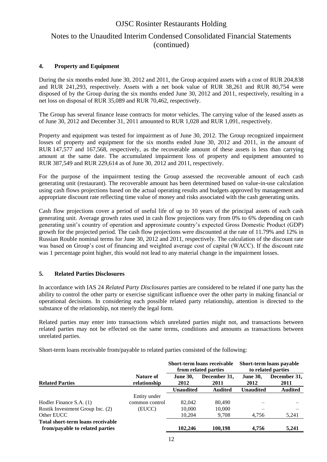## Notes to the Unaudited Interim Condensed Consolidated Financial Statements (continued)

#### **4. Property and Equipment**

During the six months ended June 30, 2012 and 2011, the Group acquired assets with a cost of RUR 204,838 and RUR 241,293, respectively. Assets with a net book value of RUR 38,261 and RUR 80,754 were disposed of by the Group during the six months ended June 30, 2012 and 2011, respectively, resulting in a net loss on disposal of RUR 35,089 and RUR 70,462, respectively.

The Group has several finance lease contracts for motor vehicles. The carrying value of the leased assets as of June 30, 2012 and December 31, 2011 amounted to RUR 1,028 and RUR 1,091, respectively.

Property and equipment was tested for impairment as of June 30, 2012. The Group recognized impairment losses of property and equipment for the six months ended June 30, 2012 and 2011, in the amount of RUR 147,577 and 167,568, respectively, as the recoverable amount of these assets is less than carrying amount at the same date. The accumulated impairment loss of property and equipment amounted to RUR 387,549 and RUR 229,614 as of June 30, 2012 and 2011, respectively.

For the purpose of the impairment testing the Group assessed the recoverable amount of each cash generating unit (restaurant). The recoverable amount has been determined based on value-in-use calculation using cash flows projections based on the actual operating results and budgets approved by management and appropriate discount rate reflecting time value of money and risks associated with the cash generating units.

Cash flow projections cover a period of useful life of up to 10 years of the principal assets of each cash generating unit. Average growth rates used in cash flow projections vary from 0% to 6% depending on cash generating unit's country of operation and approximate country's expected Gross Domestic Product (GDP) growth for the projected period. The cash flow projections were discounted at the rate of 11.79% and 12% in Russian Rouble nominal terms for June 30, 2012 and 2011, respectively. The calculation of the discount rate was based on Group's cost of financing and weighted average cost of capital (WACC). If the discount rate was 1 percentage point higher, this would not lead to any material change in the impairment losses.

#### **5. Related Parties Disclosures**

In accordance with IAS 24 *Related Party Disclosures* parties are considered to be related if one party has the ability to control the other party or exercise significant influence over the other party in making financial or operational decisions. In considering each possible related party relationship, attention is directed to the substance of the relationship, not merely the legal form.

Related parties may enter into transactions which unrelated parties might not, and transactions between related parties may not be effected on the same terms, conditions and amounts as transactions between unrelated parties.

Short-term loans receivable from/payable to related parties consisted of the following:

|                                                                      |                           | Short-term loans receivable<br>from related parties<br>December 31,<br><b>June 30,</b><br>2012<br>2011 |                |                         | Short-term loans payable<br>to related parties |
|----------------------------------------------------------------------|---------------------------|--------------------------------------------------------------------------------------------------------|----------------|-------------------------|------------------------------------------------|
| <b>Related Parties</b>                                               | Nature of<br>relationship |                                                                                                        |                | <b>June 30,</b><br>2012 | December 31,<br>2011                           |
|                                                                      |                           | <b>Unaudited</b>                                                                                       | <b>Audited</b> | <b>Unaudited</b>        | <b>Audited</b>                                 |
|                                                                      | Entity under              |                                                                                                        |                |                         |                                                |
| Hodler Finance S.A. (1)                                              | common control            | 82,042                                                                                                 | 80,490         |                         |                                                |
| Rostik Investment Group Inc. (2)                                     | (EUCC)                    | 10,000                                                                                                 | 10.000         |                         |                                                |
| Other EUCC                                                           |                           | 10,204                                                                                                 | 9,708          | 4,756                   | 5,241                                          |
| Total short-term loans receivable<br>from/payable to related parties |                           | 102,246                                                                                                | 100.198        | 4.756                   | 5,241                                          |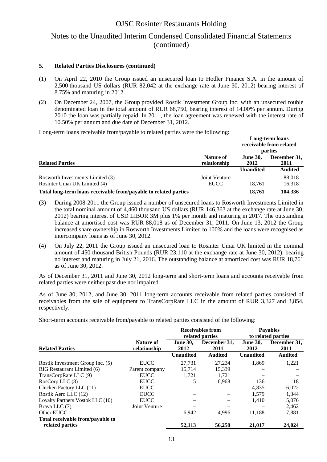### Notes to the Unaudited Interim Condensed Consolidated Financial Statements (continued)

#### **5. Related Parties Disclosures (continued)**

- (1) On April 22, 2010 the Group issued an unsecured loan to Hodler Finance S.A. in the amount of 2,500 thousand US dollars (RUR 82,042 at the exchange rate at June 30, 2012) bearing interest of 8.75% and maturing in 2012.
- (2) On December 24, 2007, the Group provided Rostik Investment Group Inc. with an unsecured rouble denominated loan in the total amount of RUR 68,750, bearing interest of 14.00% per annum. During 2010 the loan was partially repaid. In 2011, the loan agreement was renewed with the interest rate of 10.50% per annum and due date of December 31, 2012.

Long-term loans receivable from/payable to related parties were the following:

|                                                                  |                              | Long-term loans<br>receivable from related<br>parties |                      |  |
|------------------------------------------------------------------|------------------------------|-------------------------------------------------------|----------------------|--|
| <b>Related Parties</b>                                           | Nature of<br>relationship    | <b>June 30.</b><br>2012                               | December 31,<br>2011 |  |
|                                                                  |                              | <b>Unaudited</b>                                      | <b>Audited</b>       |  |
| Rosworth Investments Limited (3)<br>Rosinter Umai UK Limited (4) | Joint Venture<br><b>EUCC</b> | 18,761                                                | 88,018<br>16,318     |  |
| Total long-term loans receivable from/payable to related parties |                              | 18.761                                                | 104.336              |  |

- (3) During 2008-2011 the Group issued a number of unsecured loans to Rosworth Investments Limited in the total nominal amount of 4,460 thousand US dollars (RUR 146,363 at the exchange rate at June 30, 2012) bearing interest of USD LIBOR 3M plus 1% per month and maturing in 2017. The outstanding balance at amortised cost was RUR 88,018 as of December 31, 2011. On June 13, 2012 the Group increased share ownership in Rosworth Investments Limited to 100% and the loans were recognised as intercompany loans as of June 30, 2012.
- (4) On July 22, 2011 the Group issued an unsecured loan to Rosinter Umai UK limited in the nominal amount of 450 thousand British Pounds (RUR 23,110 at the exchange rate at June 30, 2012), bearing no interest and maturing in July 21, 2016. The outstanding balance at amortized cost was RUR 18,761 as of June 30, 2012.

As of December 31, 2011 and June 30, 2012 long-term and short-term loans and accounts receivable from related parties were neither past due nor impaired.

As of June 30, 2012, and June 30, 2011 long-term accounts receivable from related parties consisted of receivables from the sale of equipment to TransCorpRate LLC in the amount of RUR 3,327 and 3,854, respectively.

Short-term accounts receivable from/payable to related parties consisted of the following:

|                                  |                           |                         | <b>Receivables from</b><br>related parties |                         | <b>Payables</b><br>to related parties |
|----------------------------------|---------------------------|-------------------------|--------------------------------------------|-------------------------|---------------------------------------|
| <b>Related Parties</b>           | Nature of<br>relationship | <b>June 30.</b><br>2012 | December 31.<br>2011                       | <b>June 30.</b><br>2012 | December 31,<br>2011                  |
|                                  |                           | <b>Unaudited</b>        | <b>Audited</b>                             | <b>Unaudited</b>        | <b>Audited</b>                        |
| Rostik Investment Group Inc. (5) | <b>EUCC</b>               | 27,731                  | 27,234                                     | 1,869                   | 1,221                                 |
| RIG Restaurant Limited (6)       | Parent company            | 15,714                  | 15,339                                     |                         |                                       |
| TransCorpRate LLC (9)            | <b>EUCC</b>               | 1.721                   | 1,721                                      |                         |                                       |
| RosCorp LLC(8)                   | <b>EUCC</b>               | 5                       | 6,968                                      | 136                     | 18                                    |
| Chicken Factory LLC (11)         | <b>EUCC</b>               |                         |                                            | 4.835                   | 6,022                                 |
| Rostik Aero LLC (12)             | <b>EUCC</b>               |                         |                                            | 1.579                   | 1,344                                 |
| Loyalty Partners Vostok LLC (10) | <b>EUCC</b>               |                         |                                            | 1,410                   | 5,076                                 |
| Brava LLC (7)                    | Joint Venture             |                         |                                            |                         | 2,462                                 |
| Other EUCC                       |                           | 6,942                   | 4,996                                      | 11,188                  | 7,881                                 |
| Total receivable from/payable to |                           |                         |                                            |                         |                                       |
| related parties                  |                           | 52,113                  | 56,258                                     | 21,017                  | 24,024                                |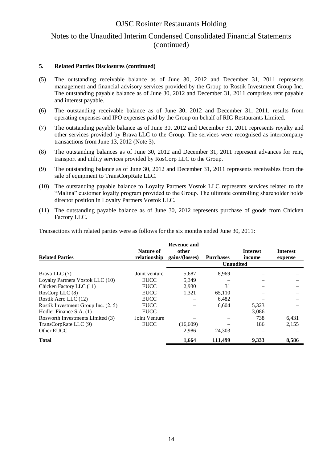### Notes to the Unaudited Interim Condensed Consolidated Financial Statements (continued)

#### **5. Related Parties Disclosures (continued)**

- (5) The outstanding receivable balance as of June 30, 2012 and December 31, 2011 represents management and financial advisory services provided by the Group to Rostik Investment Group Inc. The outstanding payable balance as of June 30, 2012 and December 31, 2011 comprises rent payable and interest payable.
- (6) The outstanding receivable balance as of June 30, 2012 and December 31, 2011, results from operating expenses and IPO expenses paid by the Group on behalf of RIG Restaurants Limited.
- (7) The outstanding payable balance as of June 30, 2012 and December 31, 2011 represents royalty and other services provided by Brava LLC to the Group. The services were recognised as intercompany transactions from June 13, 2012 (Note 3).
- (8) The outstanding balances as of June 30, 2012 and December 31, 2011 represent advances for rent, transport and utility services provided by RosCorp LLC to the Group.
- (9) The outstanding balance as of June 30, 2012 and December 31, 2011 represents receivables from the sale of equipment to TransCorpRate LLC.
- (10) The outstanding payable balance to Loyalty Partners Vostok LLC represents services related to the "Malina" customer loyalty program provided to the Group. The ultimate controlling shareholder holds director position in Loyalty Partners Vostok LLC.
- (11) The outstanding payable balance as of June 30, 2012 represents purchase of goods from Chicken Factory LLC.

Transactions with related parties were as follows for the six months ended June 30, 2011:

| <b>Related Parties</b>              | <b>Nature of</b><br>relationship | <b>Revenue and</b><br>other<br>gains/(losses) | <b>Purchases</b><br><b>Unaudited</b> | <b>Interest</b><br>income | <b>Interest</b><br>expense |
|-------------------------------------|----------------------------------|-----------------------------------------------|--------------------------------------|---------------------------|----------------------------|
|                                     |                                  |                                               |                                      |                           |                            |
| Brava LLC (7)                       | Joint venture                    | 5,687                                         | 8,969                                |                           |                            |
| Loyalty Partners Vostok LLC (10)    | <b>EUCC</b>                      | 5,349                                         |                                      |                           |                            |
| Chicken Factory LLC (11)            | <b>EUCC</b>                      | 2.930                                         | 31                                   |                           |                            |
| RosCorp LLC (8)                     | <b>EUCC</b>                      | 1.321                                         | 65,110                               |                           |                            |
| Rostik Aero LLC (12)                | <b>EUCC</b>                      |                                               | 6,482                                |                           |                            |
| Rostik Investment Group Inc. (2, 5) | <b>EUCC</b>                      |                                               | 6,604                                | 5,323                     |                            |
| Hodler Finance S.A. (1)             | <b>EUCC</b>                      |                                               |                                      | 3,086                     |                            |
| Rosworth Investments Limited (3)    | Joint Venture                    |                                               |                                      | 738                       | 6,431                      |
| TransCorpRate LLC (9)               | <b>EUCC</b>                      | (16,609)                                      |                                      | 186                       | 2,155                      |
| Other EUCC                          |                                  | 2,986                                         | 24,303                               |                           |                            |
| <b>Total</b>                        |                                  | 1,664                                         | 111,499                              | 9,333                     | 8,586                      |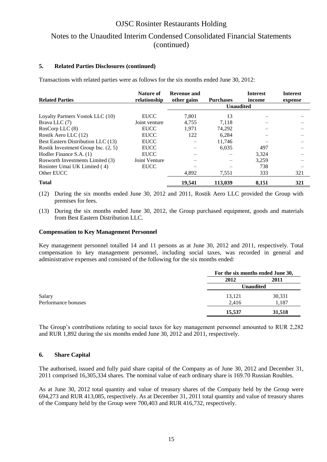## OJSC Rosinter Restaurants Holding Notes to the Unaudited Interim Condensed Consolidated Financial Statements (continued)

#### **5. Related Parties Disclosures (continued)**

Transactions with related parties were as follows for the six months ended June 30, 2012:

| <b>Related Parties</b>              | Nature of<br>relationship | Revenue and<br>other gains | <b>Purchases</b> | <b>Interest</b><br>income | <b>Interest</b><br>expense |
|-------------------------------------|---------------------------|----------------------------|------------------|---------------------------|----------------------------|
|                                     |                           |                            | <b>Unaudited</b> |                           |                            |
| Loyalty Partners Vostok LLC (10)    | <b>EUCC</b>               | 7.801                      | 13               |                           |                            |
| Brava LLC (7)                       | Joint venture             | 4,755                      | 7,118            |                           |                            |
| RosCorp LLC (8)                     | <b>EUCC</b>               | 1.971                      | 74.292           |                           |                            |
| Rostik Aero LLC (12)                | <b>EUCC</b>               | 122                        | 6.284            |                           |                            |
| Best Eastern Distribution LLC (13)  | <b>EUCC</b>               |                            | 11.746           |                           |                            |
| Rostik Investment Group Inc. (2, 5) | <b>EUCC</b>               |                            | 6.035            | 497                       |                            |
| Hodler Finance S.A. (1)             | <b>EUCC</b>               |                            |                  | 3,324                     |                            |
| Rosworth Investments Limited (3)    | Joint Venture             |                            |                  | 3,259                     |                            |
| Rosinter Umai UK Limited (4)        | <b>EUCC</b>               |                            |                  | 738                       |                            |
| Other EUCC                          |                           | 4,892                      | 7,551            | 333                       | 321                        |
| <b>Total</b>                        |                           | 19,541                     | 113,039          | 8,151                     | 321                        |

- (12) During the six months ended June 30, 2012 and 2011, Rostik Aero LLC provided the Group with premises for fees.
- (13) During the six months ended June 30, 2012, the Group purchased equipment, goods and materials from Best Eastern Distribution LLC.

#### **Compensation to Key Management Personnel**

Key management personnel totalled 14 and 11 persons as at June 30, 2012 and 2011, respectively. Total compensation to key management personnel, including social taxes, was recorded in general and administrative expenses and consisted of the following for the six months ended:

|                     |                  | For the six months ended June 30, |  |  |
|---------------------|------------------|-----------------------------------|--|--|
|                     | 2012             | 2011                              |  |  |
|                     | <b>Unaudited</b> |                                   |  |  |
| Salary              | 13,121           | 30,331                            |  |  |
| Performance bonuses | 2,416            | 1,187                             |  |  |
|                     | 15,537           | 31,518                            |  |  |

The Group's contributions relating to social taxes for key management personnel amounted to RUR 2,282 and RUR 1,892 during the six months ended June 30, 2012 and 2011, respectively.

#### **6. Share Capital**

The authorised, issued and fully paid share capital of the Company as of June 30, 2012 and December 31, 2011 comprised 16,305,334 shares. The nominal value of each ordinary share is 169.70 Russian Roubles.

As at June 30, 2012 total quantity and value of treasury shares of the Company held by the Group were 694,273 and RUR 413,085, respectively. As at December 31, 2011 total quantity and value of treasury shares of the Company held by the Group were 700,403 and RUR 416,732, respectively.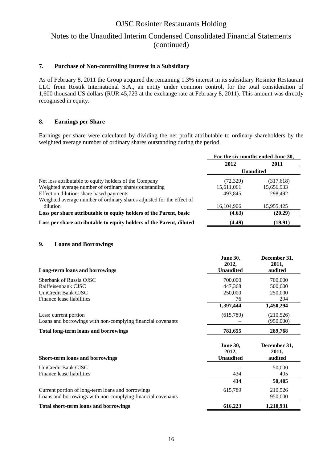## Notes to the Unaudited Interim Condensed Consolidated Financial Statements (continued)

#### **7. Purchase of Non-controlling Interest in a Subsidiary**

As of February 8, 2011 the Group acquired the remaining 1.3% interest in its subsidiary Rosinter Restaurant LLC from Rostik International S.A., an entity under common control, for the total consideration of 1,600 thousand US dollars (RUR 45,723 at the exchange rate at February 8, 2011). This amount was directly recognised in equity.

#### **8. Earnings per Share**

Earnings per share were calculated by dividing the net profit attributable to ordinary shareholders by the weighted average number of ordinary shares outstanding during the period.

|                                                                       | For the six months ended June 30, |            |
|-----------------------------------------------------------------------|-----------------------------------|------------|
|                                                                       | 2012                              | 2011       |
|                                                                       | <b>Unaudited</b>                  |            |
| Net loss attributable to equity holders of the Company                | (72, 329)                         | (317,618)  |
| Weighted average number of ordinary shares outstanding                | 15,611,061                        | 15,656,933 |
| Effect on dilution: share based payments                              | 493.845                           | 298,492    |
| Weighted average number of ordinary shares adjusted for the effect of |                                   |            |
| dilution                                                              | 16,104,906                        | 15,955,425 |
| Loss per share attributable to equity holders of the Parent, basic    | (4.63)                            | (20.29)    |
| Loss per share attributable to equity holders of the Parent, diluted  | (4.49)                            | (19.91)    |

#### **9. Loans and Borrowings**

|                                                             | <b>June 30,</b>  | December 31, |
|-------------------------------------------------------------|------------------|--------------|
|                                                             | 2012,            | 2011,        |
| <b>Long-term loans and borrowings</b>                       | <b>Unaudited</b> | audited      |
| Sberbank of Russia OJSC                                     | 700,000          | 700,000      |
| Raiffeisenbank CJSC                                         | 447,368          | 500,000      |
| UniCredit Bank CJSC                                         | 250,000          | 250,000      |
| Finance lease liabilities                                   | 76               | 294          |
|                                                             | 1,397,444        | 1,450,294    |
| Less: current portion                                       | (615,789)        | (210,526)    |
| Loans and borrowings with non-complying financial covenants |                  | (950,000)    |
| <b>Total long-term loans and borrowings</b>                 | 781,655          | 289,768      |
|                                                             | <b>June 30,</b>  | December 31, |
|                                                             | 2012,            | 2011,        |
| <b>Short-term loans and borrowings</b>                      | <b>Unaudited</b> | audited      |
| UniCredit Bank CJSC                                         |                  | 50,000       |
| Finance lease liabilities                                   | 434              | 405          |
|                                                             | 434              | 50,405       |
| Current portion of long-term loans and borrowings           | 615,789          | 210,526      |
| Loans and borrowings with non-complying financial covenants |                  | 950,000      |
| <b>Total short-term loans and borrowings</b>                | 616,223          | 1,210,931    |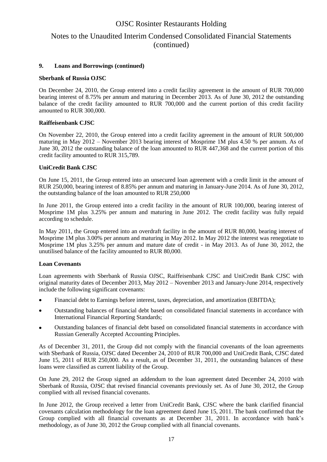### Notes to the Unaudited Interim Condensed Consolidated Financial Statements (continued)

#### **9. Loans and Borrowings (continued)**

#### **Sberbank of Russia OJSC**

On December 24, 2010, the Group entered into a credit facility agreement in the amount of RUR 700,000 bearing interest of 8.75% per annum and maturing in December 2013. As of June 30, 2012 the outstanding balance of the credit facility amounted to RUR 700,000 and the current portion of this credit facility amounted to RUR 300,000.

#### **Raiffeisenbank CJSC**

On November 22, 2010, the Group entered into a credit facility agreement in the amount of RUR 500,000 maturing in May 2012 – November 2013 bearing interest of Mosprime 1M plus 4.50 % per annum. As of June 30, 2012 the outstanding balance of the loan amounted to RUR 447,368 and the current portion of this credit facility amounted to RUR 315,789.

#### **UniCredit Bank CJSC**

On June 15, 2011, the Group entered into an unsecured loan agreement with a credit limit in the amount of RUR 250,000, bearing interest of 8.85% per annum and maturing in January-June 2014. As of June 30, 2012, the outstanding balance of the loan amounted to RUR 250,000

In June 2011, the Group entered into a credit facility in the amount of RUR 100,000, bearing interest of Mosprime 1M plus 3.25% per annum and maturing in June 2012. The credit facility was fully repaid according to schedule.

In May 2011, the Group entered into an overdraft facility in the amount of RUR 80,000, bearing interest of Mosprime 1M plus 3.00% per annum and maturing in May 2012. In May 2012 the interest was renegotiate to Mosprime 1M plus 3.25% per annum and mature date of credit - in May 2013. As of June 30, 2012, the unutilised balance of the facility amounted to RUR 80,000.

#### **Loan Covenants**

Loan agreements with Sberbank of Russia OJSC, Raiffeisenbank CJSC and UniCredit Bank CJSC with original maturity dates of December 2013, May 2012 – November 2013 and January-June 2014, respectively include the following significant covenants:

- Financial debt to Earnings before interest, taxes, depreciation, and amortization (EBITDA);
- Outstanding balances of financial debt based on consolidated financial statements in accordance with  $\bullet$ International Financial Reporting Standards;
- Outstanding balances of financial debt based on consolidated financial statements in accordance with Russian Generally Accepted Accounting Principles.

As of December 31, 2011, the Group did not comply with the financial covenants of the loan agreements with Sberbank of Russia, OJSC dated December 24, 2010 of RUR 700,000 and UniCredit Bank, CJSC dated June 15, 2011 of RUR 250,000. As a result, as of December 31, 2011, the outstanding balances of these loans were classified as current liability of the Group.

On June 29, 2012 the Group signed an addendum to the loan agreement dated December 24, 2010 with Sberbank of Russia, OJSC that revised financial covenants previously set. As of June 30, 2012, the Group complied with all revised financial covenants.

In June 2012, the Group received a letter from UniCredit Bank, CJSC where the bank clarified financial covenants calculation methodology for the loan agreement dated June 15, 2011. The bank confirmed that the Group complied with all financial covenants as at December 31, 2011. In accordance with bank's methodology, as of June 30, 2012 the Group complied with all financial covenants.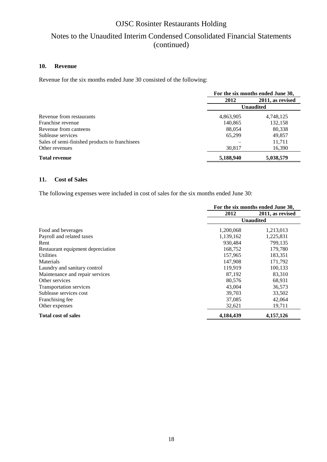## Notes to the Unaudited Interim Condensed Consolidated Financial Statements (continued)

#### **10. Revenue**

Revenue for the six months ended June 30 consisted of the following:

|                                                | For the six months ended June 30, |                  |  |
|------------------------------------------------|-----------------------------------|------------------|--|
|                                                | 2012                              | 2011, as revised |  |
|                                                | <b>Unaudited</b>                  |                  |  |
| Revenue from restaurants                       | 4,863,905                         | 4,748,125        |  |
| Franchise revenue                              | 140,865                           | 132,158          |  |
| Revenue from canteens                          | 88,054                            | 80,338           |  |
| Sublease services                              | 65,299                            | 49,857           |  |
| Sales of semi-finished products to franchisees |                                   | 11,711           |  |
| Other revenues                                 | 30,817                            | 16,390           |  |
| <b>Total revenue</b>                           | 5,188,940                         | 5,038,579        |  |

#### **11. Cost of Sales**

The following expenses were included in cost of sales for the six months ended June 30:

|                                   | For the six months ended June 30, |                  |
|-----------------------------------|-----------------------------------|------------------|
|                                   | 2012                              | 2011, as revised |
|                                   |                                   | <b>Unaudited</b> |
| Food and beverages                | 1,200,068                         | 1,213,013        |
| Payroll and related taxes         | 1,139,162                         | 1,225,831        |
| Rent                              | 930,484                           | 799,135          |
| Restaurant equipment depreciation | 168,752                           | 179,780          |
| <b>Utilities</b>                  | 157,965                           | 183,351          |
| Materials                         | 147,908                           | 171,792          |
| Laundry and sanitary control      | 119,919                           | 100,133          |
| Maintenance and repair services   | 87,192                            | 83,310           |
| Other services                    | 80,576                            | 68,931           |
| <b>Transportation services</b>    | 43,004                            | 36,573           |
| Sublease services cost            | 39,703                            | 33,502           |
| Franchising fee                   | 37,085                            | 42,064           |
| Other expenses                    | 32,621                            | 19,711           |
| <b>Total cost of sales</b>        | 4,184,439                         | 4,157,126        |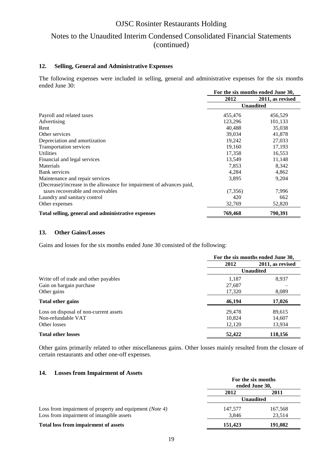## Notes to the Unaudited Interim Condensed Consolidated Financial Statements (continued)

#### **12. Selling, General and Administrative Expenses**

The following expenses were included in selling, general and administrative expenses for the six months ended June 30:

|                                                                       | For the six months ended June 30, |                  |
|-----------------------------------------------------------------------|-----------------------------------|------------------|
|                                                                       | 2012                              | 2011, as revised |
|                                                                       | <b>Unaudited</b>                  |                  |
| Payroll and related taxes                                             | 455,476                           | 456,529          |
| Advertising                                                           | 123,296                           | 101,133          |
| Rent                                                                  | 40,488                            | 35,038           |
| Other services                                                        | 39,034                            | 41,878           |
| Depreciation and amortization                                         | 19,242                            | 27,033           |
| Transportation services                                               | 19,160                            | 17,193           |
| <b>Utilities</b>                                                      | 17,358                            | 16,553           |
| Financial and legal services                                          | 13,549                            | 11,148           |
| Materials                                                             | 7,853                             | 8,342            |
| Bank services                                                         | 4,284                             | 4,862            |
| Maintenance and repair services                                       | 3,895                             | 9,204            |
| (Decrease)/increase in the allowance for impairment of advances paid, |                                   |                  |
| taxes recoverable and receivables                                     | (7,356)                           | 7,996            |
| Laundry and sanitary control                                          | 420                               | 662              |
| Other expenses                                                        | 32,769                            | 52,820           |
| Total selling, general and administrative expenses                    | 769,468                           | 790,391          |

#### **13. Other Gains/Losses**

Gains and losses for the six months ended June 30 consisted of the following:

|                                        | For the six months ended June 30, |                  |  |
|----------------------------------------|-----------------------------------|------------------|--|
|                                        | 2012                              | 2011, as revised |  |
|                                        |                                   | <b>Unaudited</b> |  |
| Write off of trade and other payables  | 1,187                             | 8,937            |  |
| Gain on bargain purchase               | 27,687                            |                  |  |
| Other gains                            | 17,320                            | 8,089            |  |
| <b>Total other gains</b>               | 46,194                            | 17,026           |  |
| Loss on disposal of non-current assets | 29,478                            | 89,615           |  |
| Non-refundable VAT                     | 10,824                            | 14,607           |  |
| Other losses                           | 12,120                            | 13,934           |  |
| <b>Total other losses</b>              | 52,422                            | 118,156          |  |

Other gains primarily related to other miscellaneous gains. Other losses mainly resulted from the closure of certain restaurants and other one-off expenses.

#### **14. Losses from Impairment of Assets**

|                                                                  | For the six months<br>ended June 30, |         |
|------------------------------------------------------------------|--------------------------------------|---------|
|                                                                  | 2012                                 | 2011    |
|                                                                  | Unaudited                            |         |
| Loss from impairment of property and equipment ( <i>Note 4</i> ) | 147,577                              | 167,568 |
| Loss from impairment of intangible assets                        | 3,846                                | 23.514  |
| Total loss from impairment of assets                             | 151,423                              | 191,082 |

19